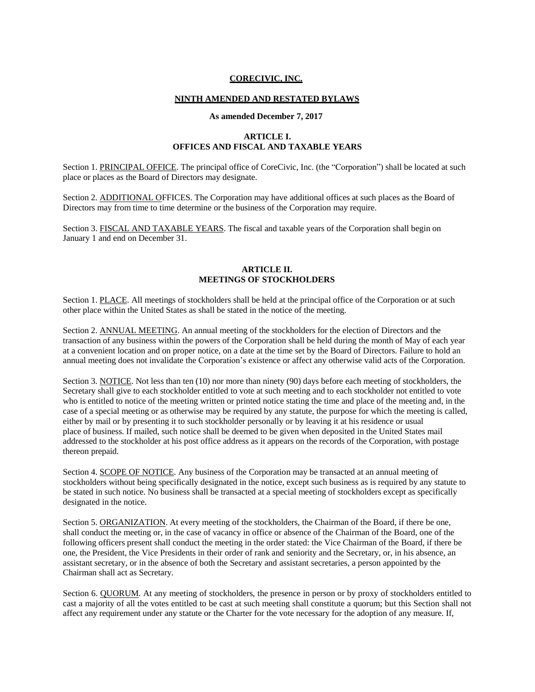## **CORECIVIC, INC.**

#### **NINTH AMENDED AND RESTATED BYLAWS**

#### **As amended December 7, 2017**

## **ARTICLE I. OFFICES AND FISCAL AND TAXABLE YEARS**

Section 1. PRINCIPAL OFFICE. The principal office of CoreCivic, Inc. (the "Corporation") shall be located at such place or places as the Board of Directors may designate.

Section 2. ADDITIONAL OFFICES. The Corporation may have additional offices at such places as the Board of Directors may from time to time determine or the business of the Corporation may require.

Section 3. FISCAL AND TAXABLE YEARS. The fiscal and taxable years of the Corporation shall begin on January 1 and end on December 31.

#### **ARTICLE II. MEETINGS OF STOCKHOLDERS**

Section 1. PLACE. All meetings of stockholders shall be held at the principal office of the Corporation or at such other place within the United States as shall be stated in the notice of the meeting.

Section 2. ANNUAL MEETING. An annual meeting of the stockholders for the election of Directors and the transaction of any business within the powers of the Corporation shall be held during the month of May of each year at a convenient location and on proper notice, on a date at the time set by the Board of Directors. Failure to hold an annual meeting does not invalidate the Corporation's existence or affect any otherwise valid acts of the Corporation.

Section 3. NOTICE. Not less than ten (10) nor more than ninety (90) days before each meeting of stockholders, the Secretary shall give to each stockholder entitled to vote at such meeting and to each stockholder not entitled to vote who is entitled to notice of the meeting written or printed notice stating the time and place of the meeting and, in the case of a special meeting or as otherwise may be required by any statute, the purpose for which the meeting is called, either by mail or by presenting it to such stockholder personally or by leaving it at his residence or usual place of business. If mailed, such notice shall be deemed to be given when deposited in the United States mail addressed to the stockholder at his post office address as it appears on the records of the Corporation, with postage thereon prepaid.

Section 4. SCOPE OF NOTICE. Any business of the Corporation may be transacted at an annual meeting of stockholders without being specifically designated in the notice, except such business as is required by any statute to be stated in such notice. No business shall be transacted at a special meeting of stockholders except as specifically designated in the notice.

Section 5. ORGANIZATION. At every meeting of the stockholders, the Chairman of the Board, if there be one, shall conduct the meeting or, in the case of vacancy in office or absence of the Chairman of the Board, one of the following officers present shall conduct the meeting in the order stated: the Vice Chairman of the Board, if there be one, the President, the Vice Presidents in their order of rank and seniority and the Secretary, or, in his absence, an assistant secretary, or in the absence of both the Secretary and assistant secretaries, a person appointed by the Chairman shall act as Secretary.

Section 6. QUORUM. At any meeting of stockholders, the presence in person or by proxy of stockholders entitled to cast a majority of all the votes entitled to be cast at such meeting shall constitute a quorum; but this Section shall not affect any requirement under any statute or the Charter for the vote necessary for the adoption of any measure. If,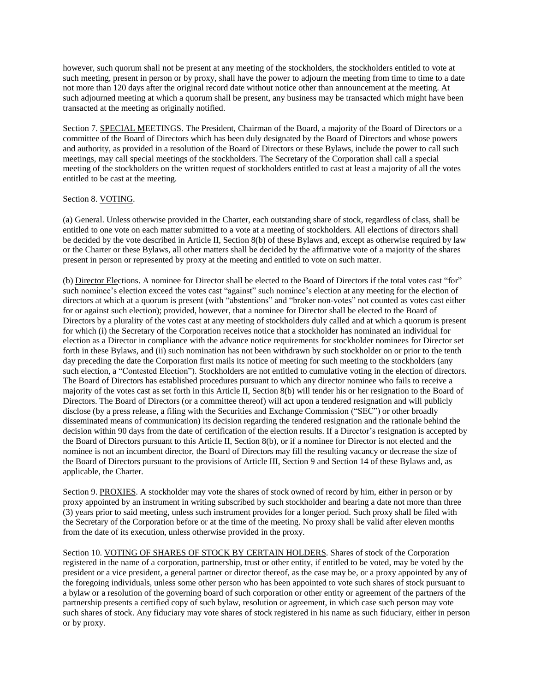however, such quorum shall not be present at any meeting of the stockholders, the stockholders entitled to vote at such meeting, present in person or by proxy, shall have the power to adjourn the meeting from time to time to a date not more than 120 days after the original record date without notice other than announcement at the meeting. At such adjourned meeting at which a quorum shall be present, any business may be transacted which might have been transacted at the meeting as originally notified.

Section 7. SPECIAL MEETINGS. The President, Chairman of the Board, a majority of the Board of Directors or a committee of the Board of Directors which has been duly designated by the Board of Directors and whose powers and authority, as provided in a resolution of the Board of Directors or these Bylaws, include the power to call such meetings, may call special meetings of the stockholders. The Secretary of the Corporation shall call a special meeting of the stockholders on the written request of stockholders entitled to cast at least a majority of all the votes entitled to be cast at the meeting.

## Section 8. VOTING.

(a) General. Unless otherwise provided in the Charter, each outstanding share of stock, regardless of class, shall be entitled to one vote on each matter submitted to a vote at a meeting of stockholders. All elections of directors shall be decided by the vote described in Article II, Section 8(b) of these Bylaws and, except as otherwise required by law or the Charter or these Bylaws, all other matters shall be decided by the affirmative vote of a majority of the shares present in person or represented by proxy at the meeting and entitled to vote on such matter.

(b) Director Elections. A nominee for Director shall be elected to the Board of Directors if the total votes cast "for" such nominee's election exceed the votes cast "against" such nominee's election at any meeting for the election of directors at which at a quorum is present (with "abstentions" and "broker non-votes" not counted as votes cast either for or against such election); provided, however, that a nominee for Director shall be elected to the Board of Directors by a plurality of the votes cast at any meeting of stockholders duly called and at which a quorum is present for which (i) the Secretary of the Corporation receives notice that a stockholder has nominated an individual for election as a Director in compliance with the advance notice requirements for stockholder nominees for Director set forth in these Bylaws, and (ii) such nomination has not been withdrawn by such stockholder on or prior to the tenth day preceding the date the Corporation first mails its notice of meeting for such meeting to the stockholders (any such election, a "Contested Election"). Stockholders are not entitled to cumulative voting in the election of directors. The Board of Directors has established procedures pursuant to which any director nominee who fails to receive a majority of the votes cast as set forth in this Article II, Section 8(b) will tender his or her resignation to the Board of Directors. The Board of Directors (or a committee thereof) will act upon a tendered resignation and will publicly disclose (by a press release, a filing with the Securities and Exchange Commission ("SEC") or other broadly disseminated means of communication) its decision regarding the tendered resignation and the rationale behind the decision within 90 days from the date of certification of the election results. If a Director's resignation is accepted by the Board of Directors pursuant to this Article II, Section 8(b), or if a nominee for Director is not elected and the nominee is not an incumbent director, the Board of Directors may fill the resulting vacancy or decrease the size of the Board of Directors pursuant to the provisions of Article III, Section 9 and Section 14 of these Bylaws and, as applicable, the Charter.

Section 9. PROXIES. A stockholder may vote the shares of stock owned of record by him, either in person or by proxy appointed by an instrument in writing subscribed by such stockholder and bearing a date not more than three (3) years prior to said meeting, unless such instrument provides for a longer period. Such proxy shall be filed with the Secretary of the Corporation before or at the time of the meeting. No proxy shall be valid after eleven months from the date of its execution, unless otherwise provided in the proxy.

Section 10. VOTING OF SHARES OF STOCK BY CERTAIN HOLDERS. Shares of stock of the Corporation registered in the name of a corporation, partnership, trust or other entity, if entitled to be voted, may be voted by the president or a vice president, a general partner or director thereof, as the case may be, or a proxy appointed by any of the foregoing individuals, unless some other person who has been appointed to vote such shares of stock pursuant to a bylaw or a resolution of the governing board of such corporation or other entity or agreement of the partners of the partnership presents a certified copy of such bylaw, resolution or agreement, in which case such person may vote such shares of stock. Any fiduciary may vote shares of stock registered in his name as such fiduciary, either in person or by proxy.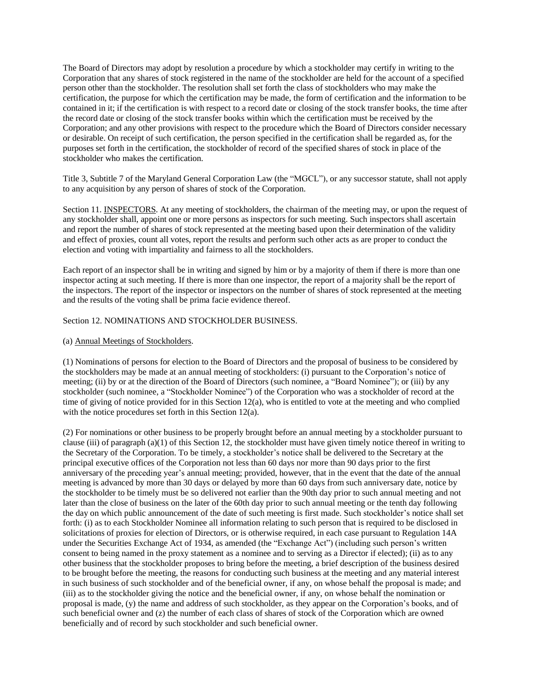The Board of Directors may adopt by resolution a procedure by which a stockholder may certify in writing to the Corporation that any shares of stock registered in the name of the stockholder are held for the account of a specified person other than the stockholder. The resolution shall set forth the class of stockholders who may make the certification, the purpose for which the certification may be made, the form of certification and the information to be contained in it; if the certification is with respect to a record date or closing of the stock transfer books, the time after the record date or closing of the stock transfer books within which the certification must be received by the Corporation; and any other provisions with respect to the procedure which the Board of Directors consider necessary or desirable. On receipt of such certification, the person specified in the certification shall be regarded as, for the purposes set forth in the certification, the stockholder of record of the specified shares of stock in place of the stockholder who makes the certification.

Title 3, Subtitle 7 of the Maryland General Corporation Law (the "MGCL"), or any successor statute, shall not apply to any acquisition by any person of shares of stock of the Corporation.

Section 11. INSPECTORS. At any meeting of stockholders, the chairman of the meeting may, or upon the request of any stockholder shall, appoint one or more persons as inspectors for such meeting. Such inspectors shall ascertain and report the number of shares of stock represented at the meeting based upon their determination of the validity and effect of proxies, count all votes, report the results and perform such other acts as are proper to conduct the election and voting with impartiality and fairness to all the stockholders.

Each report of an inspector shall be in writing and signed by him or by a majority of them if there is more than one inspector acting at such meeting. If there is more than one inspector, the report of a majority shall be the report of the inspectors. The report of the inspector or inspectors on the number of shares of stock represented at the meeting and the results of the voting shall be prima facie evidence thereof.

#### Section 12. NOMINATIONS AND STOCKHOLDER BUSINESS.

#### (a) Annual Meetings of Stockholders.

(1) Nominations of persons for election to the Board of Directors and the proposal of business to be considered by the stockholders may be made at an annual meeting of stockholders: (i) pursuant to the Corporation's notice of meeting; (ii) by or at the direction of the Board of Directors (such nominee, a "Board Nominee"); or (iii) by any stockholder (such nominee, a "Stockholder Nominee") of the Corporation who was a stockholder of record at the time of giving of notice provided for in this Section 12(a), who is entitled to vote at the meeting and who complied with the notice procedures set forth in this Section 12(a).

(2) For nominations or other business to be properly brought before an annual meeting by a stockholder pursuant to clause (iii) of paragraph (a)(1) of this Section 12, the stockholder must have given timely notice thereof in writing to the Secretary of the Corporation. To be timely, a stockholder's notice shall be delivered to the Secretary at the principal executive offices of the Corporation not less than 60 days nor more than 90 days prior to the first anniversary of the preceding year's annual meeting; provided, however, that in the event that the date of the annual meeting is advanced by more than 30 days or delayed by more than 60 days from such anniversary date, notice by the stockholder to be timely must be so delivered not earlier than the 90th day prior to such annual meeting and not later than the close of business on the later of the 60th day prior to such annual meeting or the tenth day following the day on which public announcement of the date of such meeting is first made. Such stockholder's notice shall set forth: (i) as to each Stockholder Nominee all information relating to such person that is required to be disclosed in solicitations of proxies for election of Directors, or is otherwise required, in each case pursuant to Regulation 14A under the Securities Exchange Act of 1934, as amended (the "Exchange Act") (including such person's written consent to being named in the proxy statement as a nominee and to serving as a Director if elected); (ii) as to any other business that the stockholder proposes to bring before the meeting, a brief description of the business desired to be brought before the meeting, the reasons for conducting such business at the meeting and any material interest in such business of such stockholder and of the beneficial owner, if any, on whose behalf the proposal is made; and (iii) as to the stockholder giving the notice and the beneficial owner, if any, on whose behalf the nomination or proposal is made, (y) the name and address of such stockholder, as they appear on the Corporation's books, and of such beneficial owner and (z) the number of each class of shares of stock of the Corporation which are owned beneficially and of record by such stockholder and such beneficial owner.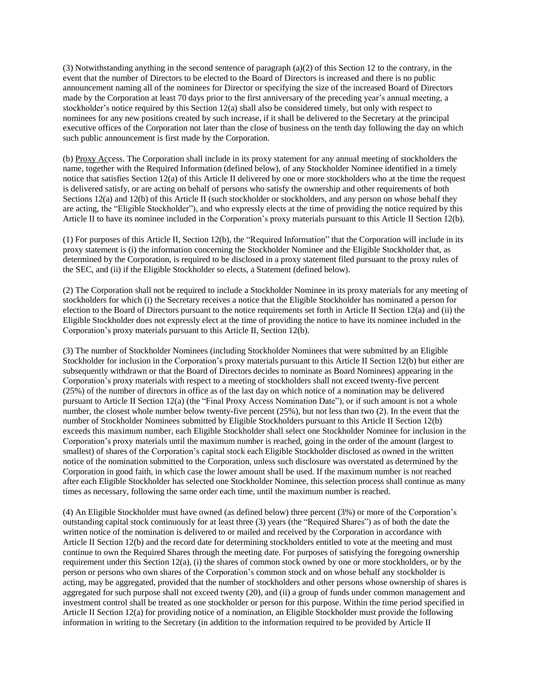(3) Notwithstanding anything in the second sentence of paragraph (a)(2) of this Section 12 to the contrary, in the event that the number of Directors to be elected to the Board of Directors is increased and there is no public announcement naming all of the nominees for Director or specifying the size of the increased Board of Directors made by the Corporation at least 70 days prior to the first anniversary of the preceding year's annual meeting, a stockholder's notice required by this Section 12(a) shall also be considered timely, but only with respect to nominees for any new positions created by such increase, if it shall be delivered to the Secretary at the principal executive offices of the Corporation not later than the close of business on the tenth day following the day on which such public announcement is first made by the Corporation.

(b) Proxy Access. The Corporation shall include in its proxy statement for any annual meeting of stockholders the name, together with the Required Information (defined below), of any Stockholder Nominee identified in a timely notice that satisfies Section 12(a) of this Article II delivered by one or more stockholders who at the time the request is delivered satisfy, or are acting on behalf of persons who satisfy the ownership and other requirements of both Sections 12(a) and 12(b) of this Article II (such stockholder or stockholders, and any person on whose behalf they are acting, the "Eligible Stockholder"), and who expressly elects at the time of providing the notice required by this Article II to have its nominee included in the Corporation's proxy materials pursuant to this Article II Section 12(b).

(1) For purposes of this Article II, Section 12(b), the "Required Information" that the Corporation will include in its proxy statement is (i) the information concerning the Stockholder Nominee and the Eligible Stockholder that, as determined by the Corporation, is required to be disclosed in a proxy statement filed pursuant to the proxy rules of the SEC, and (ii) if the Eligible Stockholder so elects, a Statement (defined below).

(2) The Corporation shall not be required to include a Stockholder Nominee in its proxy materials for any meeting of stockholders for which (i) the Secretary receives a notice that the Eligible Stockholder has nominated a person for election to the Board of Directors pursuant to the notice requirements set forth in Article II Section 12(a) and (ii) the Eligible Stockholder does not expressly elect at the time of providing the notice to have its nominee included in the Corporation's proxy materials pursuant to this Article II, Section 12(b).

(3) The number of Stockholder Nominees (including Stockholder Nominees that were submitted by an Eligible Stockholder for inclusion in the Corporation's proxy materials pursuant to this Article II Section 12(b) but either are subsequently withdrawn or that the Board of Directors decides to nominate as Board Nominees) appearing in the Corporation's proxy materials with respect to a meeting of stockholders shall not exceed twenty-five percent (25%) of the number of directors in office as of the last day on which notice of a nomination may be delivered pursuant to Article II Section 12(a) (the "Final Proxy Access Nomination Date"), or if such amount is not a whole number, the closest whole number below twenty-five percent (25%), but not less than two (2). In the event that the number of Stockholder Nominees submitted by Eligible Stockholders pursuant to this Article II Section 12(b) exceeds this maximum number, each Eligible Stockholder shall select one Stockholder Nominee for inclusion in the Corporation's proxy materials until the maximum number is reached, going in the order of the amount (largest to smallest) of shares of the Corporation's capital stock each Eligible Stockholder disclosed as owned in the written notice of the nomination submitted to the Corporation, unless such disclosure was overstated as determined by the Corporation in good faith, in which case the lower amount shall be used. If the maximum number is not reached after each Eligible Stockholder has selected one Stockholder Nominee, this selection process shall continue as many times as necessary, following the same order each time, until the maximum number is reached.

(4) An Eligible Stockholder must have owned (as defined below) three percent (3%) or more of the Corporation's outstanding capital stock continuously for at least three (3) years (the "Required Shares") as of both the date the written notice of the nomination is delivered to or mailed and received by the Corporation in accordance with Article II Section 12(b) and the record date for determining stockholders entitled to vote at the meeting and must continue to own the Required Shares through the meeting date. For purposes of satisfying the foregoing ownership requirement under this Section 12(a), (i) the shares of common stock owned by one or more stockholders, or by the person or persons who own shares of the Corporation's common stock and on whose behalf any stockholder is acting, may be aggregated, provided that the number of stockholders and other persons whose ownership of shares is aggregated for such purpose shall not exceed twenty (20), and (ii) a group of funds under common management and investment control shall be treated as one stockholder or person for this purpose. Within the time period specified in Article II Section 12(a) for providing notice of a nomination, an Eligible Stockholder must provide the following information in writing to the Secretary (in addition to the information required to be provided by Article II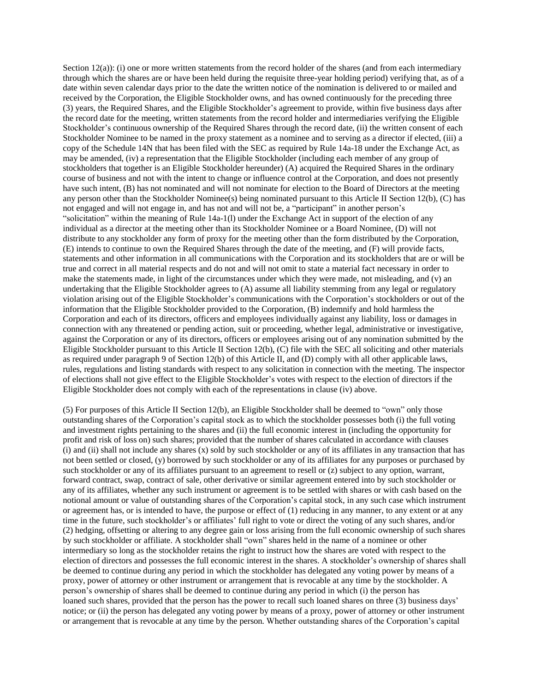Section 12(a)): (i) one or more written statements from the record holder of the shares (and from each intermediary through which the shares are or have been held during the requisite three-year holding period) verifying that, as of a date within seven calendar days prior to the date the written notice of the nomination is delivered to or mailed and received by the Corporation, the Eligible Stockholder owns, and has owned continuously for the preceding three (3) years, the Required Shares, and the Eligible Stockholder's agreement to provide, within five business days after the record date for the meeting, written statements from the record holder and intermediaries verifying the Eligible Stockholder's continuous ownership of the Required Shares through the record date, (ii) the written consent of each Stockholder Nominee to be named in the proxy statement as a nominee and to serving as a director if elected, (iii) a copy of the Schedule 14N that has been filed with the SEC as required by Rule 14a-18 under the Exchange Act, as may be amended, (iv) a representation that the Eligible Stockholder (including each member of any group of stockholders that together is an Eligible Stockholder hereunder) (A) acquired the Required Shares in the ordinary course of business and not with the intent to change or influence control at the Corporation, and does not presently have such intent, (B) has not nominated and will not nominate for election to the Board of Directors at the meeting any person other than the Stockholder Nominee(s) being nominated pursuant to this Article II Section 12(b), (C) has not engaged and will not engage in, and has not and will not be, a "participant" in another person's "solicitation" within the meaning of Rule 14a-1(l) under the Exchange Act in support of the election of any individual as a director at the meeting other than its Stockholder Nominee or a Board Nominee, (D) will not distribute to any stockholder any form of proxy for the meeting other than the form distributed by the Corporation, (E) intends to continue to own the Required Shares through the date of the meeting, and (F) will provide facts, statements and other information in all communications with the Corporation and its stockholders that are or will be true and correct in all material respects and do not and will not omit to state a material fact necessary in order to make the statements made, in light of the circumstances under which they were made, not misleading, and (v) an undertaking that the Eligible Stockholder agrees to (A) assume all liability stemming from any legal or regulatory violation arising out of the Eligible Stockholder's communications with the Corporation's stockholders or out of the information that the Eligible Stockholder provided to the Corporation, (B) indemnify and hold harmless the Corporation and each of its directors, officers and employees individually against any liability, loss or damages in connection with any threatened or pending action, suit or proceeding, whether legal, administrative or investigative, against the Corporation or any of its directors, officers or employees arising out of any nomination submitted by the Eligible Stockholder pursuant to this Article II Section 12(b), (C) file with the SEC all soliciting and other materials as required under paragraph 9 of Section 12(b) of this Article II, and (D) comply with all other applicable laws, rules, regulations and listing standards with respect to any solicitation in connection with the meeting. The inspector of elections shall not give effect to the Eligible Stockholder's votes with respect to the election of directors if the Eligible Stockholder does not comply with each of the representations in clause (iv) above.

(5) For purposes of this Article II Section 12(b), an Eligible Stockholder shall be deemed to "own" only those outstanding shares of the Corporation's capital stock as to which the stockholder possesses both (i) the full voting and investment rights pertaining to the shares and (ii) the full economic interest in (including the opportunity for profit and risk of loss on) such shares; provided that the number of shares calculated in accordance with clauses (i) and (ii) shall not include any shares (x) sold by such stockholder or any of its affiliates in any transaction that has not been settled or closed, (y) borrowed by such stockholder or any of its affiliates for any purposes or purchased by such stockholder or any of its affiliates pursuant to an agreement to resell or (z) subject to any option, warrant, forward contract, swap, contract of sale, other derivative or similar agreement entered into by such stockholder or any of its affiliates, whether any such instrument or agreement is to be settled with shares or with cash based on the notional amount or value of outstanding shares of the Corporation's capital stock, in any such case which instrument or agreement has, or is intended to have, the purpose or effect of  $(1)$  reducing in any manner, to any extent or at any time in the future, such stockholder's or affiliates' full right to vote or direct the voting of any such shares, and/or (2) hedging, offsetting or altering to any degree gain or loss arising from the full economic ownership of such shares by such stockholder or affiliate. A stockholder shall "own" shares held in the name of a nominee or other intermediary so long as the stockholder retains the right to instruct how the shares are voted with respect to the election of directors and possesses the full economic interest in the shares. A stockholder's ownership of shares shall be deemed to continue during any period in which the stockholder has delegated any voting power by means of a proxy, power of attorney or other instrument or arrangement that is revocable at any time by the stockholder. A person's ownership of shares shall be deemed to continue during any period in which (i) the person has loaned such shares, provided that the person has the power to recall such loaned shares on three (3) business days' notice; or (ii) the person has delegated any voting power by means of a proxy, power of attorney or other instrument or arrangement that is revocable at any time by the person. Whether outstanding shares of the Corporation's capital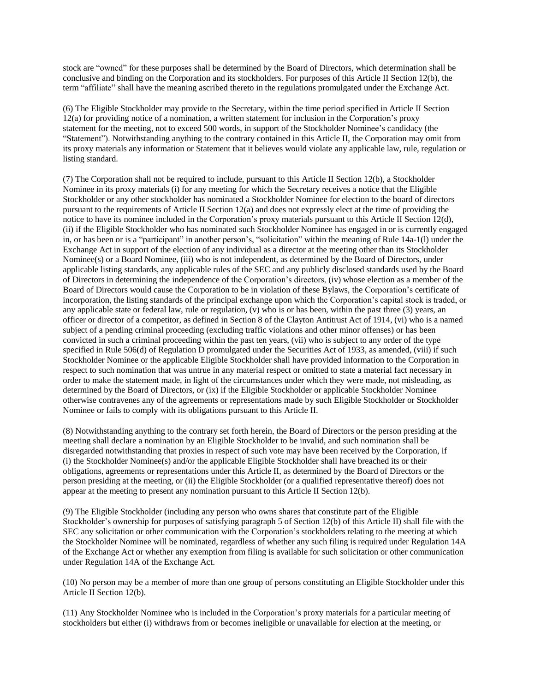stock are "owned" for these purposes shall be determined by the Board of Directors, which determination shall be conclusive and binding on the Corporation and its stockholders. For purposes of this Article II Section 12(b), the term "affiliate" shall have the meaning ascribed thereto in the regulations promulgated under the Exchange Act.

(6) The Eligible Stockholder may provide to the Secretary, within the time period specified in Article II Section 12(a) for providing notice of a nomination, a written statement for inclusion in the Corporation's proxy statement for the meeting, not to exceed 500 words, in support of the Stockholder Nominee's candidacy (the "Statement"). Notwithstanding anything to the contrary contained in this Article II, the Corporation may omit from its proxy materials any information or Statement that it believes would violate any applicable law, rule, regulation or listing standard.

(7) The Corporation shall not be required to include, pursuant to this Article II Section 12(b), a Stockholder Nominee in its proxy materials (i) for any meeting for which the Secretary receives a notice that the Eligible Stockholder or any other stockholder has nominated a Stockholder Nominee for election to the board of directors pursuant to the requirements of Article II Section 12(a) and does not expressly elect at the time of providing the notice to have its nominee included in the Corporation's proxy materials pursuant to this Article II Section 12(d), (ii) if the Eligible Stockholder who has nominated such Stockholder Nominee has engaged in or is currently engaged in, or has been or is a "participant" in another person's, "solicitation" within the meaning of Rule 14a-1(l) under the Exchange Act in support of the election of any individual as a director at the meeting other than its Stockholder Nominee(s) or a Board Nominee, (iii) who is not independent, as determined by the Board of Directors, under applicable listing standards, any applicable rules of the SEC and any publicly disclosed standards used by the Board of Directors in determining the independence of the Corporation's directors, (iv) whose election as a member of the Board of Directors would cause the Corporation to be in violation of these Bylaws, the Corporation's certificate of incorporation, the listing standards of the principal exchange upon which the Corporation's capital stock is traded, or any applicable state or federal law, rule or regulation, (v) who is or has been, within the past three (3) years, an officer or director of a competitor, as defined in Section 8 of the Clayton Antitrust Act of 1914, (vi) who is a named subject of a pending criminal proceeding (excluding traffic violations and other minor offenses) or has been convicted in such a criminal proceeding within the past ten years, (vii) who is subject to any order of the type specified in Rule 506(d) of Regulation D promulgated under the Securities Act of 1933, as amended, (viii) if such Stockholder Nominee or the applicable Eligible Stockholder shall have provided information to the Corporation in respect to such nomination that was untrue in any material respect or omitted to state a material fact necessary in order to make the statement made, in light of the circumstances under which they were made, not misleading, as determined by the Board of Directors, or (ix) if the Eligible Stockholder or applicable Stockholder Nominee otherwise contravenes any of the agreements or representations made by such Eligible Stockholder or Stockholder Nominee or fails to comply with its obligations pursuant to this Article II.

(8) Notwithstanding anything to the contrary set forth herein, the Board of Directors or the person presiding at the meeting shall declare a nomination by an Eligible Stockholder to be invalid, and such nomination shall be disregarded notwithstanding that proxies in respect of such vote may have been received by the Corporation, if (i) the Stockholder Nominee(s) and/or the applicable Eligible Stockholder shall have breached its or their obligations, agreements or representations under this Article II, as determined by the Board of Directors or the person presiding at the meeting, or (ii) the Eligible Stockholder (or a qualified representative thereof) does not appear at the meeting to present any nomination pursuant to this Article II Section 12(b).

(9) The Eligible Stockholder (including any person who owns shares that constitute part of the Eligible Stockholder's ownership for purposes of satisfying paragraph 5 of Section 12(b) of this Article II) shall file with the SEC any solicitation or other communication with the Corporation's stockholders relating to the meeting at which the Stockholder Nominee will be nominated, regardless of whether any such filing is required under Regulation 14A of the Exchange Act or whether any exemption from filing is available for such solicitation or other communication under Regulation 14A of the Exchange Act.

(10) No person may be a member of more than one group of persons constituting an Eligible Stockholder under this Article II Section 12(b).

(11) Any Stockholder Nominee who is included in the Corporation's proxy materials for a particular meeting of stockholders but either (i) withdraws from or becomes ineligible or unavailable for election at the meeting, or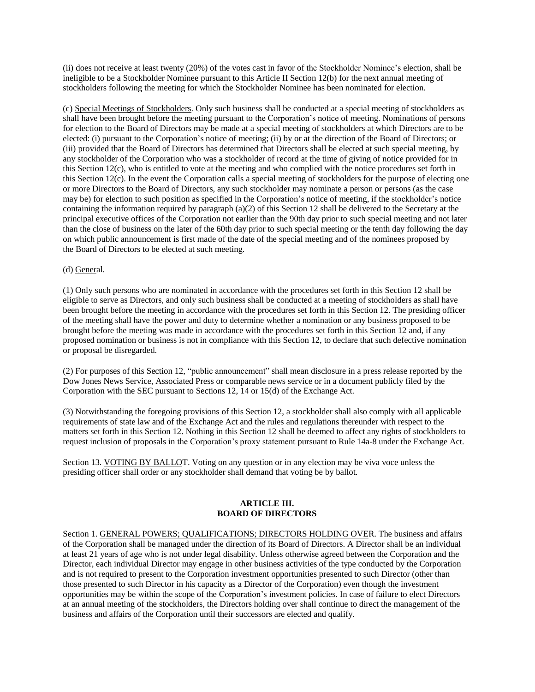(ii) does not receive at least twenty (20%) of the votes cast in favor of the Stockholder Nominee's election, shall be ineligible to be a Stockholder Nominee pursuant to this Article II Section 12(b) for the next annual meeting of stockholders following the meeting for which the Stockholder Nominee has been nominated for election.

(c) Special Meetings of Stockholders. Only such business shall be conducted at a special meeting of stockholders as shall have been brought before the meeting pursuant to the Corporation's notice of meeting. Nominations of persons for election to the Board of Directors may be made at a special meeting of stockholders at which Directors are to be elected: (i) pursuant to the Corporation's notice of meeting; (ii) by or at the direction of the Board of Directors; or (iii) provided that the Board of Directors has determined that Directors shall be elected at such special meeting, by any stockholder of the Corporation who was a stockholder of record at the time of giving of notice provided for in this Section 12(c), who is entitled to vote at the meeting and who complied with the notice procedures set forth in this Section 12(c). In the event the Corporation calls a special meeting of stockholders for the purpose of electing one or more Directors to the Board of Directors, any such stockholder may nominate a person or persons (as the case may be) for election to such position as specified in the Corporation's notice of meeting, if the stockholder's notice containing the information required by paragraph (a)(2) of this Section 12 shall be delivered to the Secretary at the principal executive offices of the Corporation not earlier than the 90th day prior to such special meeting and not later than the close of business on the later of the 60th day prior to such special meeting or the tenth day following the day on which public announcement is first made of the date of the special meeting and of the nominees proposed by the Board of Directors to be elected at such meeting.

## (d) General.

(1) Only such persons who are nominated in accordance with the procedures set forth in this Section 12 shall be eligible to serve as Directors, and only such business shall be conducted at a meeting of stockholders as shall have been brought before the meeting in accordance with the procedures set forth in this Section 12. The presiding officer of the meeting shall have the power and duty to determine whether a nomination or any business proposed to be brought before the meeting was made in accordance with the procedures set forth in this Section 12 and, if any proposed nomination or business is not in compliance with this Section 12, to declare that such defective nomination or proposal be disregarded.

(2) For purposes of this Section 12, "public announcement" shall mean disclosure in a press release reported by the Dow Jones News Service, Associated Press or comparable news service or in a document publicly filed by the Corporation with the SEC pursuant to Sections 12, 14 or 15(d) of the Exchange Act.

(3) Notwithstanding the foregoing provisions of this Section 12, a stockholder shall also comply with all applicable requirements of state law and of the Exchange Act and the rules and regulations thereunder with respect to the matters set forth in this Section 12. Nothing in this Section 12 shall be deemed to affect any rights of stockholders to request inclusion of proposals in the Corporation's proxy statement pursuant to Rule 14a-8 under the Exchange Act.

Section 13. VOTING BY BALLOT. Voting on any question or in any election may be viva voce unless the presiding officer shall order or any stockholder shall demand that voting be by ballot.

#### **ARTICLE III. BOARD OF DIRECTORS**

Section 1. GENERAL POWERS; QUALIFICATIONS; DIRECTORS HOLDING OVER. The business and affairs of the Corporation shall be managed under the direction of its Board of Directors. A Director shall be an individual at least 21 years of age who is not under legal disability. Unless otherwise agreed between the Corporation and the Director, each individual Director may engage in other business activities of the type conducted by the Corporation and is not required to present to the Corporation investment opportunities presented to such Director (other than those presented to such Director in his capacity as a Director of the Corporation) even though the investment opportunities may be within the scope of the Corporation's investment policies. In case of failure to elect Directors at an annual meeting of the stockholders, the Directors holding over shall continue to direct the management of the business and affairs of the Corporation until their successors are elected and qualify.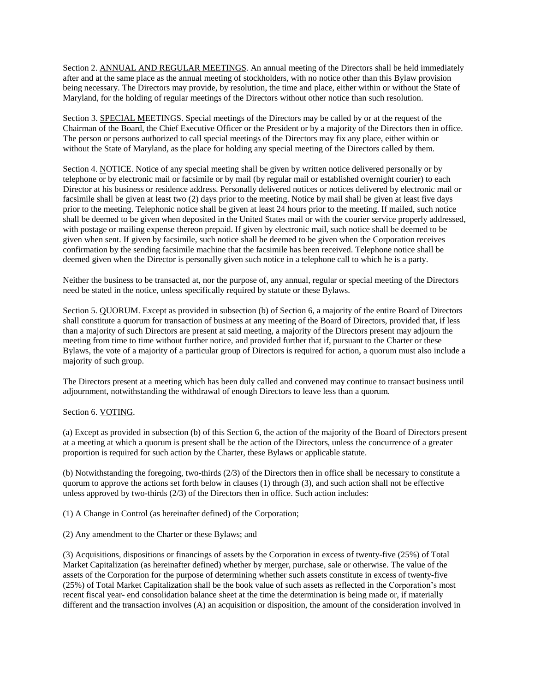Section 2. ANNUAL AND REGULAR MEETINGS. An annual meeting of the Directors shall be held immediately after and at the same place as the annual meeting of stockholders, with no notice other than this Bylaw provision being necessary. The Directors may provide, by resolution, the time and place, either within or without the State of Maryland, for the holding of regular meetings of the Directors without other notice than such resolution.

Section 3. SPECIAL MEETINGS. Special meetings of the Directors may be called by or at the request of the Chairman of the Board, the Chief Executive Officer or the President or by a majority of the Directors then in office. The person or persons authorized to call special meetings of the Directors may fix any place, either within or without the State of Maryland, as the place for holding any special meeting of the Directors called by them.

Section 4. NOTICE. Notice of any special meeting shall be given by written notice delivered personally or by telephone or by electronic mail or facsimile or by mail (by regular mail or established overnight courier) to each Director at his business or residence address. Personally delivered notices or notices delivered by electronic mail or facsimile shall be given at least two (2) days prior to the meeting. Notice by mail shall be given at least five days prior to the meeting. Telephonic notice shall be given at least 24 hours prior to the meeting. If mailed, such notice shall be deemed to be given when deposited in the United States mail or with the courier service properly addressed, with postage or mailing expense thereon prepaid. If given by electronic mail, such notice shall be deemed to be given when sent. If given by facsimile, such notice shall be deemed to be given when the Corporation receives confirmation by the sending facsimile machine that the facsimile has been received. Telephone notice shall be deemed given when the Director is personally given such notice in a telephone call to which he is a party.

Neither the business to be transacted at, nor the purpose of, any annual, regular or special meeting of the Directors need be stated in the notice, unless specifically required by statute or these Bylaws.

Section 5. QUORUM. Except as provided in subsection (b) of Section 6, a majority of the entire Board of Directors shall constitute a quorum for transaction of business at any meeting of the Board of Directors, provided that, if less than a majority of such Directors are present at said meeting, a majority of the Directors present may adjourn the meeting from time to time without further notice, and provided further that if, pursuant to the Charter or these Bylaws, the vote of a majority of a particular group of Directors is required for action, a quorum must also include a majority of such group.

The Directors present at a meeting which has been duly called and convened may continue to transact business until adjournment, notwithstanding the withdrawal of enough Directors to leave less than a quorum.

#### Section 6. VOTING.

(a) Except as provided in subsection (b) of this Section 6, the action of the majority of the Board of Directors present at a meeting at which a quorum is present shall be the action of the Directors, unless the concurrence of a greater proportion is required for such action by the Charter, these Bylaws or applicable statute.

(b) Notwithstanding the foregoing, two-thirds (2/3) of the Directors then in office shall be necessary to constitute a quorum to approve the actions set forth below in clauses (1) through (3), and such action shall not be effective unless approved by two-thirds  $(2/3)$  of the Directors then in office. Such action includes:

(1) A Change in Control (as hereinafter defined) of the Corporation;

#### (2) Any amendment to the Charter or these Bylaws; and

(3) Acquisitions, dispositions or financings of assets by the Corporation in excess of twenty-five (25%) of Total Market Capitalization (as hereinafter defined) whether by merger, purchase, sale or otherwise. The value of the assets of the Corporation for the purpose of determining whether such assets constitute in excess of twenty-five (25%) of Total Market Capitalization shall be the book value of such assets as reflected in the Corporation's most recent fiscal year- end consolidation balance sheet at the time the determination is being made or, if materially different and the transaction involves (A) an acquisition or disposition, the amount of the consideration involved in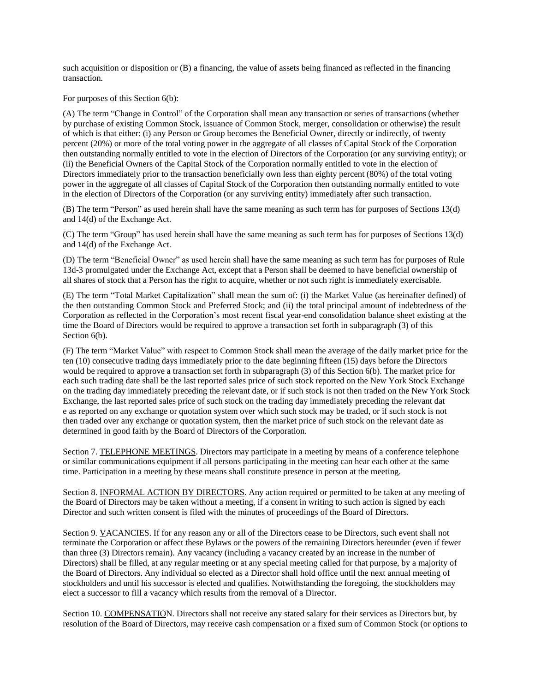such acquisition or disposition or (B) a financing, the value of assets being financed as reflected in the financing transaction.

For purposes of this Section 6(b):

(A) The term "Change in Control" of the Corporation shall mean any transaction or series of transactions (whether by purchase of existing Common Stock, issuance of Common Stock, merger, consolidation or otherwise) the result of which is that either: (i) any Person or Group becomes the Beneficial Owner, directly or indirectly, of twenty percent (20%) or more of the total voting power in the aggregate of all classes of Capital Stock of the Corporation then outstanding normally entitled to vote in the election of Directors of the Corporation (or any surviving entity); or (ii) the Beneficial Owners of the Capital Stock of the Corporation normally entitled to vote in the election of Directors immediately prior to the transaction beneficially own less than eighty percent (80%) of the total voting power in the aggregate of all classes of Capital Stock of the Corporation then outstanding normally entitled to vote in the election of Directors of the Corporation (or any surviving entity) immediately after such transaction.

(B) The term "Person" as used herein shall have the same meaning as such term has for purposes of Sections 13(d) and 14(d) of the Exchange Act.

(C) The term "Group" has used herein shall have the same meaning as such term has for purposes of Sections 13(d) and 14(d) of the Exchange Act.

(D) The term "Beneficial Owner" as used herein shall have the same meaning as such term has for purposes of Rule 13d-3 promulgated under the Exchange Act, except that a Person shall be deemed to have beneficial ownership of all shares of stock that a Person has the right to acquire, whether or not such right is immediately exercisable.

(E) The term "Total Market Capitalization" shall mean the sum of: (i) the Market Value (as hereinafter defined) of the then outstanding Common Stock and Preferred Stock; and (ii) the total principal amount of indebtedness of the Corporation as reflected in the Corporation's most recent fiscal year-end consolidation balance sheet existing at the time the Board of Directors would be required to approve a transaction set forth in subparagraph (3) of this Section  $6(b)$ .

(F) The term "Market Value" with respect to Common Stock shall mean the average of the daily market price for the ten (10) consecutive trading days immediately prior to the date beginning fifteen (15) days before the Directors would be required to approve a transaction set forth in subparagraph (3) of this Section 6(b). The market price for each such trading date shall be the last reported sales price of such stock reported on the New York Stock Exchange on the trading day immediately preceding the relevant date, or if such stock is not then traded on the New York Stock Exchange, the last reported sales price of such stock on the trading day immediately preceding the relevant dat e as reported on any exchange or quotation system over which such stock may be traded, or if such stock is not then traded over any exchange or quotation system, then the market price of such stock on the relevant date as determined in good faith by the Board of Directors of the Corporation.

Section 7. TELEPHONE MEETINGS. Directors may participate in a meeting by means of a conference telephone or similar communications equipment if all persons participating in the meeting can hear each other at the same time. Participation in a meeting by these means shall constitute presence in person at the meeting.

Section 8. INFORMAL ACTION BY DIRECTORS. Any action required or permitted to be taken at any meeting of the Board of Directors may be taken without a meeting, if a consent in writing to such action is signed by each Director and such written consent is filed with the minutes of proceedings of the Board of Directors.

Section 9. VACANCIES. If for any reason any or all of the Directors cease to be Directors, such event shall not terminate the Corporation or affect these Bylaws or the powers of the remaining Directors hereunder (even if fewer than three (3) Directors remain). Any vacancy (including a vacancy created by an increase in the number of Directors) shall be filled, at any regular meeting or at any special meeting called for that purpose, by a majority of the Board of Directors. Any individual so elected as a Director shall hold office until the next annual meeting of stockholders and until his successor is elected and qualifies. Notwithstanding the foregoing, the stockholders may elect a successor to fill a vacancy which results from the removal of a Director.

Section 10. COMPENSATION. Directors shall not receive any stated salary for their services as Directors but, by resolution of the Board of Directors, may receive cash compensation or a fixed sum of Common Stock (or options to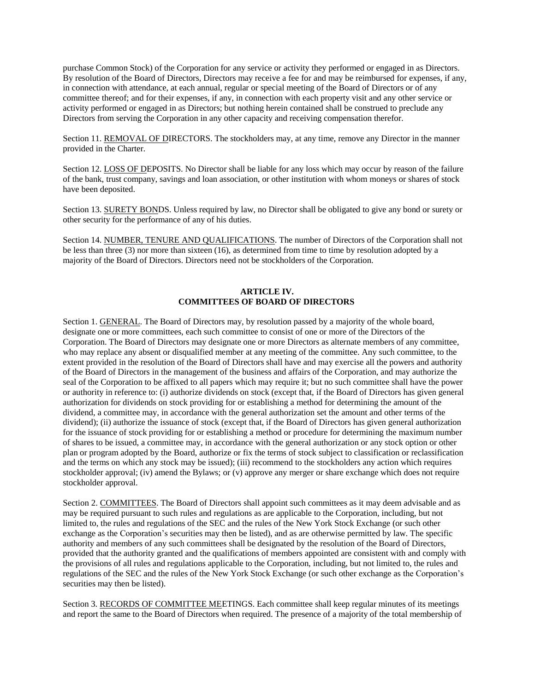purchase Common Stock) of the Corporation for any service or activity they performed or engaged in as Directors. By resolution of the Board of Directors, Directors may receive a fee for and may be reimbursed for expenses, if any, in connection with attendance, at each annual, regular or special meeting of the Board of Directors or of any committee thereof; and for their expenses, if any, in connection with each property visit and any other service or activity performed or engaged in as Directors; but nothing herein contained shall be construed to preclude any Directors from serving the Corporation in any other capacity and receiving compensation therefor.

Section 11. REMOVAL OF DIRECTORS. The stockholders may, at any time, remove any Director in the manner provided in the Charter.

Section 12. LOSS OF DEPOSITS. No Director shall be liable for any loss which may occur by reason of the failure of the bank, trust company, savings and loan association, or other institution with whom moneys or shares of stock have been deposited.

Section 13. SURETY BONDS. Unless required by law, no Director shall be obligated to give any bond or surety or other security for the performance of any of his duties.

Section 14. NUMBER, TENURE AND QUALIFICATIONS. The number of Directors of the Corporation shall not be less than three (3) nor more than sixteen (16), as determined from time to time by resolution adopted by a majority of the Board of Directors. Directors need not be stockholders of the Corporation.

## **ARTICLE IV. COMMITTEES OF BOARD OF DIRECTORS**

Section 1. GENERAL. The Board of Directors may, by resolution passed by a majority of the whole board, designate one or more committees, each such committee to consist of one or more of the Directors of the Corporation. The Board of Directors may designate one or more Directors as alternate members of any committee, who may replace any absent or disqualified member at any meeting of the committee. Any such committee, to the extent provided in the resolution of the Board of Directors shall have and may exercise all the powers and authority of the Board of Directors in the management of the business and affairs of the Corporation, and may authorize the seal of the Corporation to be affixed to all papers which may require it; but no such committee shall have the power or authority in reference to: (i) authorize dividends on stock (except that, if the Board of Directors has given general authorization for dividends on stock providing for or establishing a method for determining the amount of the dividend, a committee may, in accordance with the general authorization set the amount and other terms of the dividend); (ii) authorize the issuance of stock (except that, if the Board of Directors has given general authorization for the issuance of stock providing for or establishing a method or procedure for determining the maximum number of shares to be issued, a committee may, in accordance with the general authorization or any stock option or other plan or program adopted by the Board, authorize or fix the terms of stock subject to classification or reclassification and the terms on which any stock may be issued); (iii) recommend to the stockholders any action which requires stockholder approval; (iv) amend the Bylaws; or (v) approve any merger or share exchange which does not require stockholder approval.

Section 2. COMMITTEES. The Board of Directors shall appoint such committees as it may deem advisable and as may be required pursuant to such rules and regulations as are applicable to the Corporation, including, but not limited to, the rules and regulations of the SEC and the rules of the New York Stock Exchange (or such other exchange as the Corporation's securities may then be listed), and as are otherwise permitted by law. The specific authority and members of any such committees shall be designated by the resolution of the Board of Directors, provided that the authority granted and the qualifications of members appointed are consistent with and comply with the provisions of all rules and regulations applicable to the Corporation, including, but not limited to, the rules and regulations of the SEC and the rules of the New York Stock Exchange (or such other exchange as the Corporation's securities may then be listed).

Section 3. RECORDS OF COMMITTEE MEETINGS. Each committee shall keep regular minutes of its meetings and report the same to the Board of Directors when required. The presence of a majority of the total membership of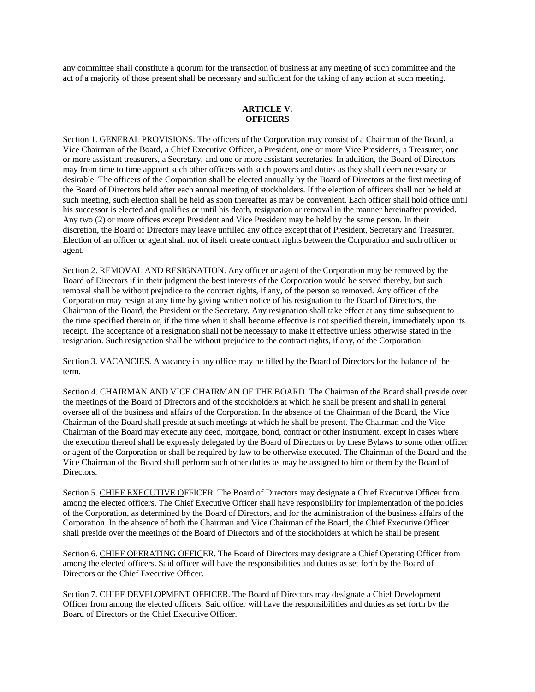any committee shall constitute a quorum for the transaction of business at any meeting of such committee and the act of a majority of those present shall be necessary and sufficient for the taking of any action at such meeting.

## **ARTICLE V. OFFICERS**

Section 1. GENERAL PROVISIONS. The officers of the Corporation may consist of a Chairman of the Board, a Vice Chairman of the Board, a Chief Executive Officer, a President, one or more Vice Presidents, a Treasurer, one or more assistant treasurers, a Secretary, and one or more assistant secretaries. In addition, the Board of Directors may from time to time appoint such other officers with such powers and duties as they shall deem necessary or desirable. The officers of the Corporation shall be elected annually by the Board of Directors at the first meeting of the Board of Directors held after each annual meeting of stockholders. If the election of officers shall not be held at such meeting, such election shall be held as soon thereafter as may be convenient. Each officer shall hold office until his successor is elected and qualifies or until his death, resignation or removal in the manner hereinafter provided. Any two (2) or more offices except President and Vice President may be held by the same person. In their discretion, the Board of Directors may leave unfilled any office except that of President, Secretary and Treasurer. Election of an officer or agent shall not of itself create contract rights between the Corporation and such officer or agent.

Section 2. REMOVAL AND RESIGNATION. Any officer or agent of the Corporation may be removed by the Board of Directors if in their judgment the best interests of the Corporation would be served thereby, but such removal shall be without prejudice to the contract rights, if any, of the person so removed. Any officer of the Corporation may resign at any time by giving written notice of his resignation to the Board of Directors, the Chairman of the Board, the President or the Secretary. Any resignation shall take effect at any time subsequent to the time specified therein or, if the time when it shall become effective is not specified therein, immediately upon its receipt. The acceptance of a resignation shall not be necessary to make it effective unless otherwise stated in the resignation. Such resignation shall be without prejudice to the contract rights, if any, of the Corporation.

Section 3. VACANCIES. A vacancy in any office may be filled by the Board of Directors for the balance of the term.

Section 4. CHAIRMAN AND VICE CHAIRMAN OF THE BOARD. The Chairman of the Board shall preside over the meetings of the Board of Directors and of the stockholders at which he shall be present and shall in general oversee all of the business and affairs of the Corporation. In the absence of the Chairman of the Board, the Vice Chairman of the Board shall preside at such meetings at which he shall be present. The Chairman and the Vice Chairman of the Board may execute any deed, mortgage, bond, contract or other instrument, except in cases where the execution thereof shall be expressly delegated by the Board of Directors or by these Bylaws to some other officer or agent of the Corporation or shall be required by law to be otherwise executed. The Chairman of the Board and the Vice Chairman of the Board shall perform such other duties as may be assigned to him or them by the Board of Directors.

Section 5. CHIEF EXECUTIVE OFFICER. The Board of Directors may designate a Chief Executive Officer from among the elected officers. The Chief Executive Officer shall have responsibility for implementation of the policies of the Corporation, as determined by the Board of Directors, and for the administration of the business affairs of the Corporation. In the absence of both the Chairman and Vice Chairman of the Board, the Chief Executive Officer shall preside over the meetings of the Board of Directors and of the stockholders at which he shall be present.

Section 6. CHIEF OPERATING OFFICER. The Board of Directors may designate a Chief Operating Officer from among the elected officers. Said officer will have the responsibilities and duties as set forth by the Board of Directors or the Chief Executive Officer.

Section 7. CHIEF DEVELOPMENT OFFICER. The Board of Directors may designate a Chief Development Officer from among the elected officers. Said officer will have the responsibilities and duties as set forth by the Board of Directors or the Chief Executive Officer.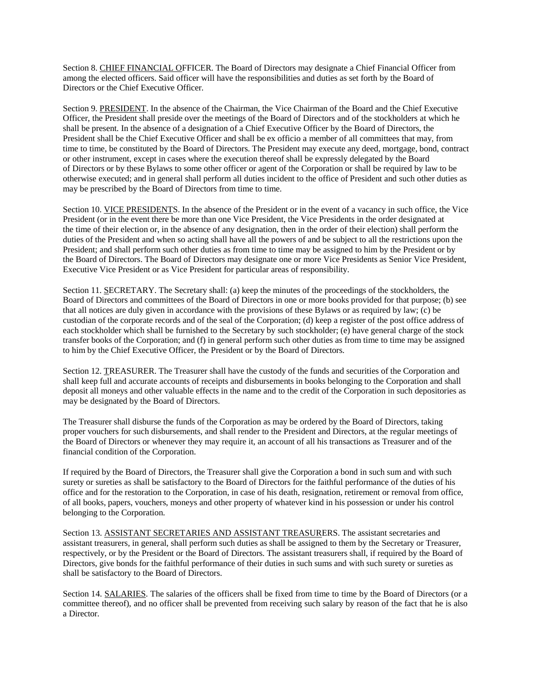Section 8. CHIEF FINANCIAL OFFICER. The Board of Directors may designate a Chief Financial Officer from among the elected officers. Said officer will have the responsibilities and duties as set forth by the Board of Directors or the Chief Executive Officer.

Section 9. PRESIDENT. In the absence of the Chairman, the Vice Chairman of the Board and the Chief Executive Officer, the President shall preside over the meetings of the Board of Directors and of the stockholders at which he shall be present. In the absence of a designation of a Chief Executive Officer by the Board of Directors, the President shall be the Chief Executive Officer and shall be ex officio a member of all committees that may, from time to time, be constituted by the Board of Directors. The President may execute any deed, mortgage, bond, contract or other instrument, except in cases where the execution thereof shall be expressly delegated by the Board of Directors or by these Bylaws to some other officer or agent of the Corporation or shall be required by law to be otherwise executed; and in general shall perform all duties incident to the office of President and such other duties as may be prescribed by the Board of Directors from time to time.

Section 10. VICE PRESIDENTS. In the absence of the President or in the event of a vacancy in such office, the Vice President (or in the event there be more than one Vice President, the Vice Presidents in the order designated at the time of their election or, in the absence of any designation, then in the order of their election) shall perform the duties of the President and when so acting shall have all the powers of and be subject to all the restrictions upon the President; and shall perform such other duties as from time to time may be assigned to him by the President or by the Board of Directors. The Board of Directors may designate one or more Vice Presidents as Senior Vice President, Executive Vice President or as Vice President for particular areas of responsibility.

Section 11. SECRETARY. The Secretary shall: (a) keep the minutes of the proceedings of the stockholders, the Board of Directors and committees of the Board of Directors in one or more books provided for that purpose; (b) see that all notices are duly given in accordance with the provisions of these Bylaws or as required by law; (c) be custodian of the corporate records and of the seal of the Corporation; (d) keep a register of the post office address of each stockholder which shall be furnished to the Secretary by such stockholder; (e) have general charge of the stock transfer books of the Corporation; and (f) in general perform such other duties as from time to time may be assigned to him by the Chief Executive Officer, the President or by the Board of Directors.

Section 12. TREASURER. The Treasurer shall have the custody of the funds and securities of the Corporation and shall keep full and accurate accounts of receipts and disbursements in books belonging to the Corporation and shall deposit all moneys and other valuable effects in the name and to the credit of the Corporation in such depositories as may be designated by the Board of Directors.

The Treasurer shall disburse the funds of the Corporation as may be ordered by the Board of Directors, taking proper vouchers for such disbursements, and shall render to the President and Directors, at the regular meetings of the Board of Directors or whenever they may require it, an account of all his transactions as Treasurer and of the financial condition of the Corporation.

If required by the Board of Directors, the Treasurer shall give the Corporation a bond in such sum and with such surety or sureties as shall be satisfactory to the Board of Directors for the faithful performance of the duties of his office and for the restoration to the Corporation, in case of his death, resignation, retirement or removal from office, of all books, papers, vouchers, moneys and other property of whatever kind in his possession or under his control belonging to the Corporation.

Section 13. ASSISTANT SECRETARIES AND ASSISTANT TREASURERS. The assistant secretaries and assistant treasurers, in general, shall perform such duties as shall be assigned to them by the Secretary or Treasurer, respectively, or by the President or the Board of Directors. The assistant treasurers shall, if required by the Board of Directors, give bonds for the faithful performance of their duties in such sums and with such surety or sureties as shall be satisfactory to the Board of Directors.

Section 14. SALARIES. The salaries of the officers shall be fixed from time to time by the Board of Directors (or a committee thereof), and no officer shall be prevented from receiving such salary by reason of the fact that he is also a Director.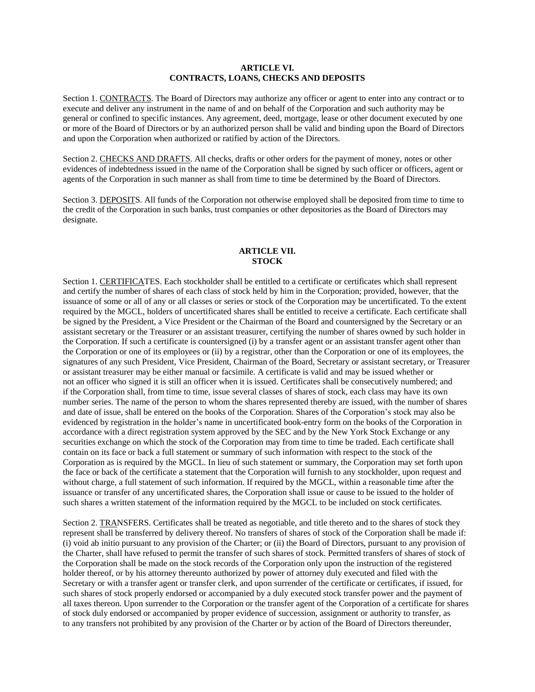## **ARTICLE VI. CONTRACTS, LOANS, CHECKS AND DEPOSITS**

Section 1. CONTRACTS. The Board of Directors may authorize any officer or agent to enter into any contract or to execute and deliver any instrument in the name of and on behalf of the Corporation and such authority may be general or confined to specific instances. Any agreement, deed, mortgage, lease or other document executed by one or more of the Board of Directors or by an authorized person shall be valid and binding upon the Board of Directors and upon the Corporation when authorized or ratified by action of the Directors.

Section 2. CHECKS AND DRAFTS. All checks, drafts or other orders for the payment of money, notes or other evidences of indebtedness issued in the name of the Corporation shall be signed by such officer or officers, agent or agents of the Corporation in such manner as shall from time to time be determined by the Board of Directors.

Section 3. DEPOSITS. All funds of the Corporation not otherwise employed shall be deposited from time to time to the credit of the Corporation in such banks, trust companies or other depositories as the Board of Directors may designate.

## **ARTICLE VII. STOCK**

Section 1. CERTIFICATES. Each stockholder shall be entitled to a certificate or certificates which shall represent and certify the number of shares of each class of stock held by him in the Corporation; provided, however, that the issuance of some or all of any or all classes or series or stock of the Corporation may be uncertificated. To the extent required by the MGCL, holders of uncertificated shares shall be entitled to receive a certificate. Each certificate shall be signed by the President, a Vice President or the Chairman of the Board and countersigned by the Secretary or an assistant secretary or the Treasurer or an assistant treasurer, certifying the number of shares owned by such holder in the Corporation. If such a certificate is countersigned (i) by a transfer agent or an assistant transfer agent other than the Corporation or one of its employees or (ii) by a registrar, other than the Corporation or one of its employees, the signatures of any such President, Vice President, Chairman of the Board, Secretary or assistant secretary, or Treasurer or assistant treasurer may be either manual or facsimile. A certificate is valid and may be issued whether or not an officer who signed it is still an officer when it is issued. Certificates shall be consecutively numbered; and if the Corporation shall, from time to time, issue several classes of shares of stock, each class may have its own number series. The name of the person to whom the shares represented thereby are issued, with the number of shares and date of issue, shall be entered on the books of the Corporation. Shares of the Corporation's stock may also be evidenced by registration in the holder's name in uncertificated book-entry form on the books of the Corporation in accordance with a direct registration system approved by the SEC and by the New York Stock Exchange or any securities exchange on which the stock of the Corporation may from time to time be traded. Each certificate shall contain on its face or back a full statement or summary of such information with respect to the stock of the Corporation as is required by the MGCL. In lieu of such statement or summary, the Corporation may set forth upon the face or back of the certificate a statement that the Corporation will furnish to any stockholder, upon request and without charge, a full statement of such information. If required by the MGCL, within a reasonable time after the issuance or transfer of any uncertificated shares, the Corporation shall issue or cause to be issued to the holder of such shares a written statement of the information required by the MGCL to be included on stock certificates.

Section 2. TRANSFERS. Certificates shall be treated as negotiable, and title thereto and to the shares of stock they represent shall be transferred by delivery thereof. No transfers of shares of stock of the Corporation shall be made if: (i) void ab initio pursuant to any provision of the Charter; or (ii) the Board of Directors, pursuant to any provision of the Charter, shall have refused to permit the transfer of such shares of stock. Permitted transfers of shares of stock of the Corporation shall be made on the stock records of the Corporation only upon the instruction of the registered holder thereof, or by his attorney thereunto authorized by power of attorney duly executed and filed with the Secretary or with a transfer agent or transfer clerk, and upon surrender of the certificate or certificates, if issued, for such shares of stock properly endorsed or accompanied by a duly executed stock transfer power and the payment of all taxes thereon. Upon surrender to the Corporation or the transfer agent of the Corporation of a certificate for shares of stock duly endorsed or accompanied by proper evidence of succession, assignment or authority to transfer, as to any transfers not prohibited by any provision of the Charter or by action of the Board of Directors thereunder,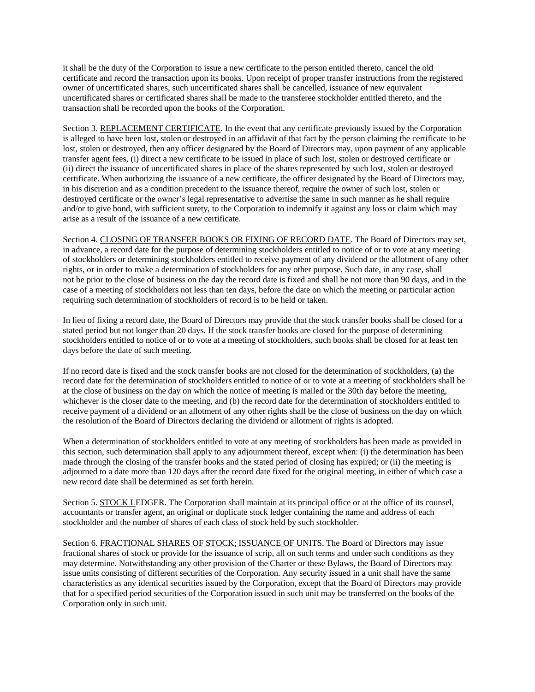it shall be the duty of the Corporation to issue a new certificate to the person entitled thereto, cancel the old certificate and record the transaction upon its books. Upon receipt of proper transfer instructions from the registered owner of uncertificated shares, such uncertificated shares shall be cancelled, issuance of new equivalent uncertificated shares or certificated shares shall be made to the transferee stockholder entitled thereto, and the transaction shall be recorded upon the books of the Corporation.

Section 3. REPLACEMENT CERTIFICATE. In the event that any certificate previously issued by the Corporation is alleged to have been lost, stolen or destroyed in an affidavit of that fact by the person claiming the certificate to be lost, stolen or destroyed, then any officer designated by the Board of Directors may, upon payment of any applicable transfer agent fees, (i) direct a new certificate to be issued in place of such lost, stolen or destroyed certificate or (ii) direct the issuance of uncertificated shares in place of the shares represented by such lost, stolen or destroyed certificate. When authorizing the issuance of a new certificate, the officer designated by the Board of Directors may, in his discretion and as a condition precedent to the issuance thereof, require the owner of such lost, stolen or destroyed certificate or the owner's legal representative to advertise the same in such manner as he shall require and/or to give bond, with sufficient surety, to the Corporation to indemnify it against any loss or claim which may arise as a result of the issuance of a new certificate.

Section 4. CLOSING OF TRANSFER BOOKS OR FIXING OF RECORD DATE. The Board of Directors may set, in advance, a record date for the purpose of determining stockholders entitled to notice of or to vote at any meeting of stockholders or determining stockholders entitled to receive payment of any dividend or the allotment of any other rights, or in order to make a determination of stockholders for any other purpose. Such date, in any case, shall not be prior to the close of business on the day the record date is fixed and shall be not more than 90 days, and in the case of a meeting of stockholders not less than ten days, before the date on which the meeting or particular action requiring such determination of stockholders of record is to be held or taken.

In lieu of fixing a record date, the Board of Directors may provide that the stock transfer books shall be closed for a stated period but not longer than 20 days. If the stock transfer books are closed for the purpose of determining stockholders entitled to notice of or to vote at a meeting of stockholders, such books shall be closed for at least ten days before the date of such meeting.

If no record date is fixed and the stock transfer books are not closed for the determination of stockholders, (a) the record date for the determination of stockholders entitled to notice of or to vote at a meeting of stockholders shall be at the close of business on the day on which the notice of meeting is mailed or the 30th day before the meeting, whichever is the closer date to the meeting, and (b) the record date for the determination of stockholders entitled to receive payment of a dividend or an allotment of any other rights shall be the close of business on the day on which the resolution of the Board of Directors declaring the dividend or allotment of rights is adopted.

When a determination of stockholders entitled to vote at any meeting of stockholders has been made as provided in this section, such determination shall apply to any adjournment thereof, except when: (i) the determination has been made through the closing of the transfer books and the stated period of closing has expired; or (ii) the meeting is adjourned to a date more than 120 days after the record date fixed for the original meeting, in either of which case a new record date shall be determined as set forth herein.

Section 5. STOCK LEDGER. The Corporation shall maintain at its principal office or at the office of its counsel, accountants or transfer agent, an original or duplicate stock ledger containing the name and address of each stockholder and the number of shares of each class of stock held by such stockholder.

Section 6. FRACTIONAL SHARES OF STOCK; ISSUANCE OF UNITS. The Board of Directors may issue fractional shares of stock or provide for the issuance of scrip, all on such terms and under such conditions as they may determine. Notwithstanding any other provision of the Charter or these Bylaws, the Board of Directors may issue units consisting of different securities of the Corporation. Any security issued in a unit shall have the same characteristics as any identical securities issued by the Corporation, except that the Board of Directors may provide that for a specified period securities of the Corporation issued in such unit may be transferred on the books of the Corporation only in such unit.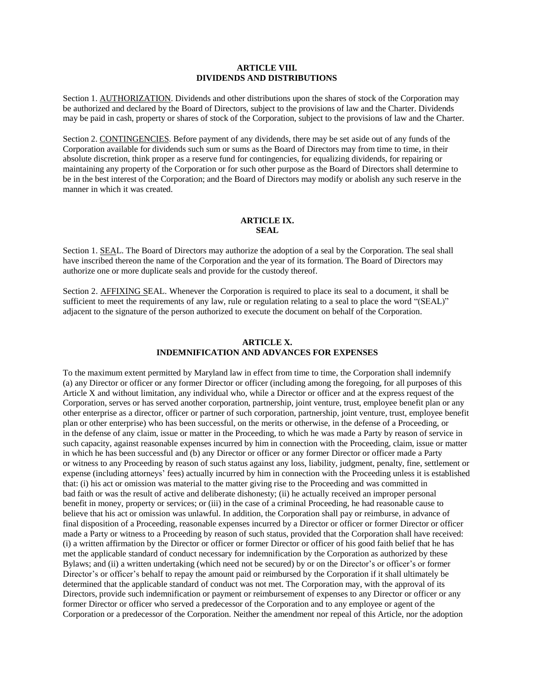## **ARTICLE VIII. DIVIDENDS AND DISTRIBUTIONS**

Section 1. AUTHORIZATION. Dividends and other distributions upon the shares of stock of the Corporation may be authorized and declared by the Board of Directors, subject to the provisions of law and the Charter. Dividends may be paid in cash, property or shares of stock of the Corporation, subject to the provisions of law and the Charter.

Section 2. CONTINGENCIES. Before payment of any dividends, there may be set aside out of any funds of the Corporation available for dividends such sum or sums as the Board of Directors may from time to time, in their absolute discretion, think proper as a reserve fund for contingencies, for equalizing dividends, for repairing or maintaining any property of the Corporation or for such other purpose as the Board of Directors shall determine to be in the best interest of the Corporation; and the Board of Directors may modify or abolish any such reserve in the manner in which it was created.

## **ARTICLE IX. SEAL**

Section 1. SEAL. The Board of Directors may authorize the adoption of a seal by the Corporation. The seal shall have inscribed thereon the name of the Corporation and the year of its formation. The Board of Directors may authorize one or more duplicate seals and provide for the custody thereof.

Section 2. AFFIXING SEAL. Whenever the Corporation is required to place its seal to a document, it shall be sufficient to meet the requirements of any law, rule or regulation relating to a seal to place the word "(SEAL)" adjacent to the signature of the person authorized to execute the document on behalf of the Corporation.

# **ARTICLE X. INDEMNIFICATION AND ADVANCES FOR EXPENSES**

To the maximum extent permitted by Maryland law in effect from time to time, the Corporation shall indemnify (a) any Director or officer or any former Director or officer (including among the foregoing, for all purposes of this Article X and without limitation, any individual who, while a Director or officer and at the express request of the Corporation, serves or has served another corporation, partnership, joint venture, trust, employee benefit plan or any other enterprise as a director, officer or partner of such corporation, partnership, joint venture, trust, employee benefit plan or other enterprise) who has been successful, on the merits or otherwise, in the defense of a Proceeding, or in the defense of any claim, issue or matter in the Proceeding, to which he was made a Party by reason of service in such capacity, against reasonable expenses incurred by him in connection with the Proceeding, claim, issue or matter in which he has been successful and (b) any Director or officer or any former Director or officer made a Party or witness to any Proceeding by reason of such status against any loss, liability, judgment, penalty, fine, settlement or expense (including attorneys' fees) actually incurred by him in connection with the Proceeding unless it is established that: (i) his act or omission was material to the matter giving rise to the Proceeding and was committed in bad faith or was the result of active and deliberate dishonesty; (ii) he actually received an improper personal benefit in money, property or services; or (iii) in the case of a criminal Proceeding, he had reasonable cause to believe that his act or omission was unlawful. In addition, the Corporation shall pay or reimburse, in advance of final disposition of a Proceeding, reasonable expenses incurred by a Director or officer or former Director or officer made a Party or witness to a Proceeding by reason of such status, provided that the Corporation shall have received: (i) a written affirmation by the Director or officer or former Director or officer of his good faith belief that he has met the applicable standard of conduct necessary for indemnification by the Corporation as authorized by these Bylaws; and (ii) a written undertaking (which need not be secured) by or on the Director's or officer's or former Director's or officer's behalf to repay the amount paid or reimbursed by the Corporation if it shall ultimately be determined that the applicable standard of conduct was not met. The Corporation may, with the approval of its Directors, provide such indemnification or payment or reimbursement of expenses to any Director or officer or any former Director or officer who served a predecessor of the Corporation and to any employee or agent of the Corporation or a predecessor of the Corporation. Neither the amendment nor repeal of this Article, nor the adoption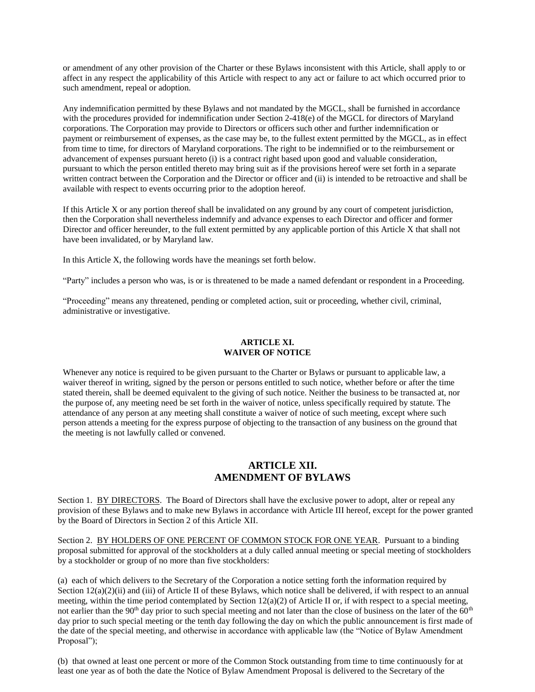or amendment of any other provision of the Charter or these Bylaws inconsistent with this Article, shall apply to or affect in any respect the applicability of this Article with respect to any act or failure to act which occurred prior to such amendment, repeal or adoption.

Any indemnification permitted by these Bylaws and not mandated by the MGCL, shall be furnished in accordance with the procedures provided for indemnification under Section 2-418(e) of the MGCL for directors of Maryland corporations. The Corporation may provide to Directors or officers such other and further indemnification or payment or reimbursement of expenses, as the case may be, to the fullest extent permitted by the MGCL, as in effect from time to time, for directors of Maryland corporations. The right to be indemnified or to the reimbursement or advancement of expenses pursuant hereto (i) is a contract right based upon good and valuable consideration, pursuant to which the person entitled thereto may bring suit as if the provisions hereof were set forth in a separate written contract between the Corporation and the Director or officer and (ii) is intended to be retroactive and shall be available with respect to events occurring prior to the adoption hereof.

If this Article X or any portion thereof shall be invalidated on any ground by any court of competent jurisdiction, then the Corporation shall nevertheless indemnify and advance expenses to each Director and officer and former Director and officer hereunder, to the full extent permitted by any applicable portion of this Article X that shall not have been invalidated, or by Maryland law.

In this Article X, the following words have the meanings set forth below.

"Party" includes a person who was, is or is threatened to be made a named defendant or respondent in a Proceeding.

"Proceeding" means any threatened, pending or completed action, suit or proceeding, whether civil, criminal, administrative or investigative.

## **ARTICLE XI. WAIVER OF NOTICE**

Whenever any notice is required to be given pursuant to the Charter or Bylaws or pursuant to applicable law, a waiver thereof in writing, signed by the person or persons entitled to such notice, whether before or after the time stated therein, shall be deemed equivalent to the giving of such notice. Neither the business to be transacted at, nor the purpose of, any meeting need be set forth in the waiver of notice, unless specifically required by statute. The attendance of any person at any meeting shall constitute a waiver of notice of such meeting, except where such person attends a meeting for the express purpose of objecting to the transaction of any business on the ground that the meeting is not lawfully called or convened.

# **ARTICLE XII. AMENDMENT OF BYLAWS**

Section 1. BY DIRECTORS. The Board of Directors shall have the exclusive power to adopt, alter or repeal any provision of these Bylaws and to make new Bylaws in accordance with Article III hereof, except for the power granted by the Board of Directors in Section 2 of this Article XII.

Section 2. BY HOLDERS OF ONE PERCENT OF COMMON STOCK FOR ONE YEAR. Pursuant to a binding proposal submitted for approval of the stockholders at a duly called annual meeting or special meeting of stockholders by a stockholder or group of no more than five stockholders:

(a) each of which delivers to the Secretary of the Corporation a notice setting forth the information required by Section 12(a)(2)(ii) and (iii) of Article II of these Bylaws, which notice shall be delivered, if with respect to an annual meeting, within the time period contemplated by Section  $12(a)(2)$  of Article II or, if with respect to a special meeting, not earlier than the 90<sup>th</sup> day prior to such special meeting and not later than the close of business on the later of the 60<sup>th</sup> day prior to such special meeting or the tenth day following the day on which the public announcement is first made of the date of the special meeting, and otherwise in accordance with applicable law (the "Notice of Bylaw Amendment Proposal");

(b) that owned at least one percent or more of the Common Stock outstanding from time to time continuously for at least one year as of both the date the Notice of Bylaw Amendment Proposal is delivered to the Secretary of the